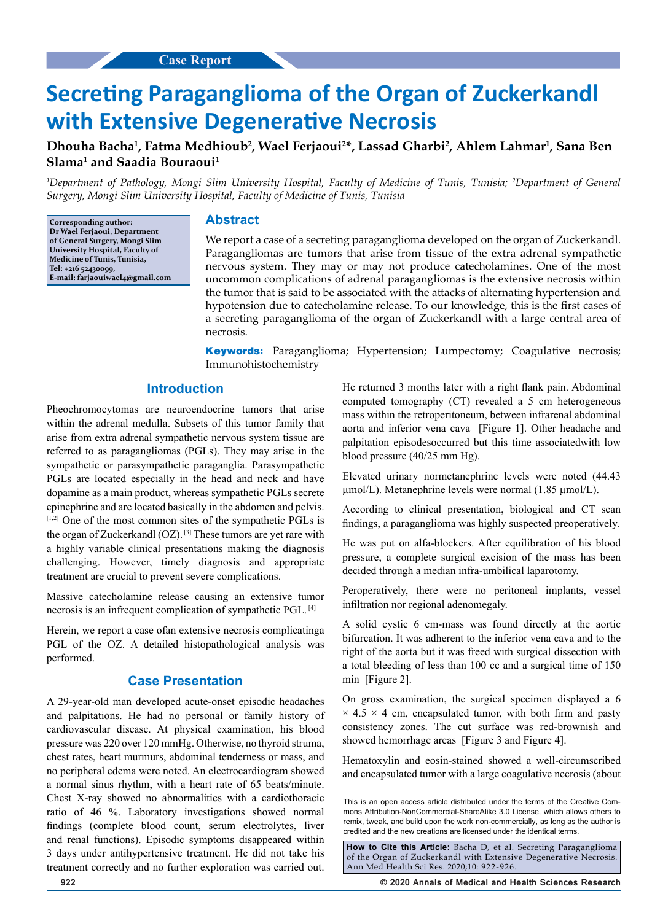# **Secreting Paraganglioma of the Organ of Zuckerkandl with Extensive Degenerative Necrosis**

## **Dhouha Bacha1 , Fatma Medhioub2 , Wael Ferjaoui2 \*, Lassad Gharbi2 , Ahlem Lahmar1 , Sana Ben Slama1 and Saadia Bouraoui1**

*1 Department of Pathology, Mongi Slim University Hospital, Faculty of Medicine of Tunis, Tunisia; 2 Department of General Surgery, Mongi Slim University Hospital, Faculty of Medicine of Tunis, Tunisia*

**Corresponding author: Dr Wael Ferjaoui, Department of General Surgery, Mongi Slim University Hospital, Faculty of Medicine of Tunis, Tunisia, Tel: +216 52430099, E-mail: farjaouiwael4@gmail.com**

#### **Abstract**

We report a case of a secreting paraganglioma developed on the organ of Zuckerkandl. Paragangliomas are tumors that arise from tissue of the extra adrenal sympathetic nervous system. They may or may not produce catecholamines. One of the most uncommon complications of adrenal paragangliomas is the extensive necrosis within the tumor that is said to be associated with the attacks of alternating hypertension and hypotension due to catecholamine release. To our knowledge, this is the first cases of a secreting paraganglioma of the organ of Zuckerkandl with a large central area of necrosis.

**Keywords:** Paraganglioma; Hypertension; Lumpectomy; Coagulative necrosis; Immunohistochemistry

## **Introduction**

Pheochromocytomas are neuroendocrine tumors that arise within the adrenal medulla. Subsets of this tumor family that arise from extra adrenal sympathetic nervous system tissue are referred to as paragangliomas (PGLs). They may arise in the sympathetic or parasympathetic paraganglia. Parasympathetic PGLs are located especially in the head and neck and have dopamine as a main product, whereas sympathetic PGLs secrete epinephrine and are located basically in the abdomen and pelvis. [1,2] One of the most common sites of the sympathetic PGLs is the organ of Zuckerkandl (OZ). [3] These tumors are yet rare with a highly variable clinical presentations making the diagnosis challenging. However, timely diagnosis and appropriate treatment are crucial to prevent severe complications.

Massive catecholamine release causing an extensive tumor necrosis is an infrequent complication of sympathetic PGL. [4]

Herein, we report a case ofan extensive necrosis complicatinga PGL of the OZ. A detailed histopathological analysis was performed.

#### **Case Presentation**

A 29-year-old man developed acute-onset episodic headaches and palpitations. He had no personal or family history of cardiovascular disease. At physical examination, his blood pressure was 220 over 120 mmHg. Otherwise, no thyroid struma, chest rates, heart murmurs, abdominal tenderness or mass, and no peripheral edema were noted. An electrocardiogram showed a normal sinus rhythm, with a heart rate of 65 beats/minute. Chest X-ray showed no abnormalities with a cardiothoracic ratio of 46 %. Laboratory investigations showed normal findings (complete blood count, serum electrolytes, liver and renal functions). Episodic symptoms disappeared within 3 days under antihypertensive treatment. He did not take his treatment correctly and no further exploration was carried out. He returned 3 months later with a right flank pain. Abdominal computed tomography (CT) revealed a 5 cm heterogeneous mass within the retroperitoneum, between infrarenal abdominal aorta and inferior vena cava [Figure 1]. Other headache and palpitation episodesoccurred but this time associatedwith low blood pressure (40/25 mm Hg).

Elevated urinary normetanephrine levels were noted (44.43 µmol/L). Metanephrine levels were normal (1.85 µmol/L).

According to clinical presentation, biological and CT scan findings, a paraganglioma was highly suspected preoperatively.

He was put on alfa-blockers. After equilibration of his blood pressure, a complete surgical excision of the mass has been decided through a median infra-umbilical laparotomy.

Peroperatively, there were no peritoneal implants, vessel infiltration nor regional adenomegaly.

A solid cystic 6 cm-mass was found directly at the aortic bifurcation. It was adherent to the inferior vena cava and to the right of the aorta but it was freed with surgical dissection with a total bleeding of less than 100 cc and a surgical time of 150 min [Figure 2].

On gross examination, the surgical specimen displayed a 6  $\times$  4.5  $\times$  4 cm, encapsulated tumor, with both firm and pasty consistency zones. The cut surface was red-brownish and showed hemorrhage areas [Figure 3 and Figure 4].

Hematoxylin and eosin-stained showed a well-circumscribed and encapsulated tumor with a large coagulative necrosis (about

**How to Cite this Article:** Bacha D, et al. Secreting Paraganglioma of the Organ of Zuckerkandl with Extensive Degenerative Necrosis. Ann Med Health Sci Res. 2020;10: 922-926.

**922 © 2020 Annals of Medical and Health Sciences Research** 

This is an open access article distributed under the terms of the Creative Commons Attribution‑NonCommercial‑ShareAlike 3.0 License, which allows others to remix, tweak, and build upon the work non‑commercially, as long as the author is credited and the new creations are licensed under the identical terms.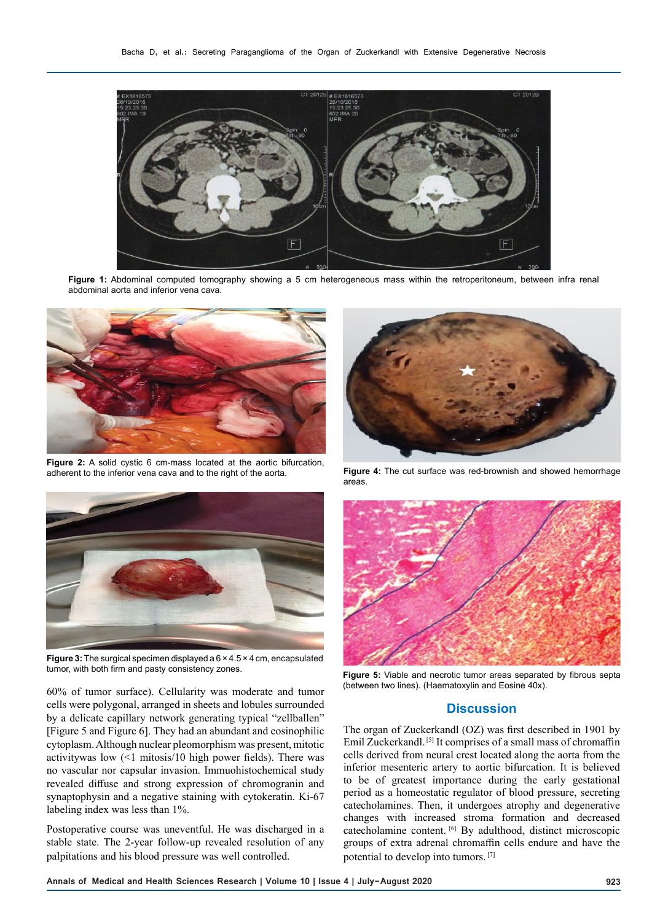

**Figure 1:** Abdominal computed tomography showing a 5 cm heterogeneous mass within the retroperitoneum, between infra renal abdominal aorta and inferior vena cava.



**Figure 2:** A solid cystic 6 cm-mass located at the aortic bifurcation, adherent to the inferior vena cava and to the right of the aorta.



**Figure 3:** The surgical specimen displayed a 6 × 4.5 × 4 cm, encapsulated tumor, with both firm and pasty consistency zones.

60% of tumor surface). Cellularity was moderate and tumor cells were polygonal, arranged in sheets and lobules surrounded by a delicate capillary network generating typical "zellballen" [Figure 5 and Figure 6]. They had an abundant and eosinophilic cytoplasm. Although nuclear pleomorphism was present, mitotic activitywas low (<1 mitosis/10 high power fields). There was no vascular nor capsular invasion. Immuohistochemical study revealed diffuse and strong expression of chromogranin and synaptophysin and a negative staining with cytokeratin. Ki-67 labeling index was less than 1%.

Postoperative course was uneventful. He was discharged in a stable state. The 2-year follow-up revealed resolution of any palpitations and his blood pressure was well controlled.



**Figure 4:** The cut surface was red-brownish and showed hemorrhage areas.



**Figure 5:** Viable and necrotic tumor areas separated by fibrous septa (between two lines). (Haematoxylin and Eosine 40x).

#### **Discussion**

The organ of Zuckerkandl (OZ) was first described in 1901 by Emil Zuckerkandl. [5] It comprises of a small mass of chromaffin cells derived from neural crest located along the aorta from the inferior mesenteric artery to aortic bifurcation. It is believed to be of greatest importance during the early gestational period as a homeostatic regulator of blood pressure, secreting catecholamines. Then, it undergoes atrophy and degenerative changes with increased stroma formation and decreased catecholamine content. [6] By adulthood, distinct microscopic groups of extra adrenal chromaffin cells endure and have the potential to develop into tumors. [7]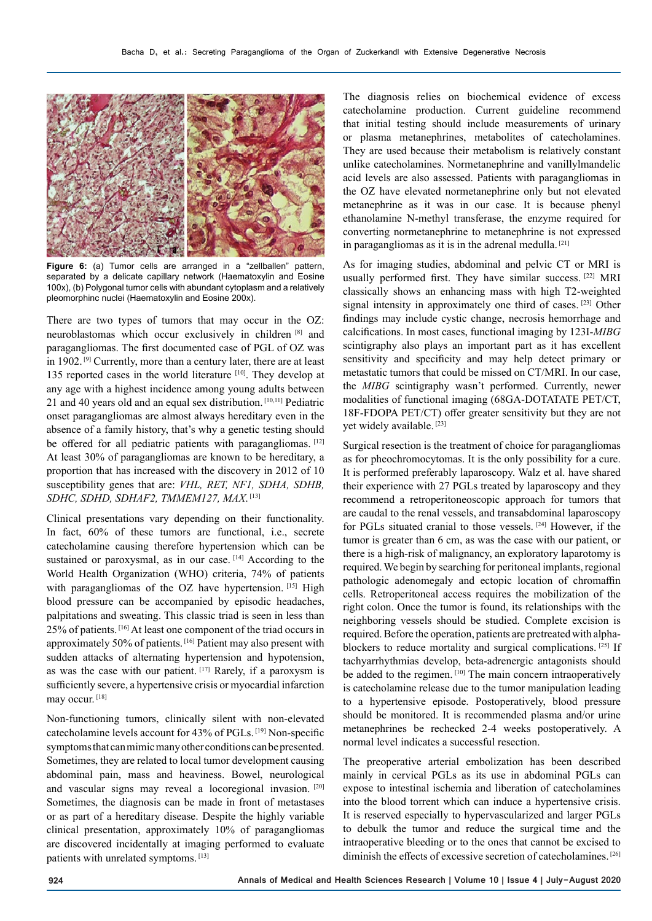

**Figure 6:** (a) Tumor cells are arranged in a "zellballen" pattern, separated by a delicate capillary network (Haematoxylin and Eosine 100x), (b) Polygonal tumor cells with abundant cytoplasm and a relatively pleomorphinc nuclei (Haematoxylin and Eosine 200x).

There are two types of tumors that may occur in the OZ: neuroblastomas which occur exclusively in children [8] and paragangliomas. The first documented case of PGL of OZ was in 1902.<sup>[9]</sup> Currently, more than a century later, there are at least 135 reported cases in the world literature [10]. They develop at any age with a highest incidence among young adults between 21 and 40 years old and an equal sex distribution. [10,11] Pediatric onset paragangliomas are almost always hereditary even in the absence of a family history, that's why a genetic testing should be offered for all pediatric patients with paragangliomas. [12] At least 30% of paragangliomas are known to be hereditary, a proportion that has increased with the discovery in 2012 of 10 susceptibility genes that are: *VHL, RET, NF1, SDHA, SDHB, SDHC, SDHD, SDHAF2, TMMEM127, MAX*. [13]

Clinical presentations vary depending on their functionality. In fact, 60% of these tumors are functional, i.e., secrete catecholamine causing therefore hypertension which can be sustained or paroxysmal, as in our case. [14] According to the World Health Organization (WHO) criteria, 74% of patients with paragangliomas of the OZ have hypertension. [15] High blood pressure can be accompanied by episodic headaches, palpitations and sweating. This classic triad is seen in less than 25% of patients. [16] At least one component of the triad occurs in approximately 50% of patients. [16] Patient may also present with sudden attacks of alternating hypertension and hypotension, as was the case with our patient. [17] Rarely, if a paroxysm is sufficiently severe, a hypertensive crisis or myocardial infarction may occur. [18]

Non-functioning tumors, clinically silent with non-elevated catecholamine levels account for 43% of PGLs. [19] Non-specific symptoms that can mimic many other conditions can be presented. Sometimes, they are related to local tumor development causing abdominal pain, mass and heaviness. Bowel, neurological and vascular signs may reveal a locoregional invasion. [20] Sometimes, the diagnosis can be made in front of metastases or as part of a hereditary disease. Despite the highly variable clinical presentation, approximately 10% of paragangliomas are discovered incidentally at imaging performed to evaluate patients with unrelated symptoms. [13]

The diagnosis relies on biochemical evidence of excess catecholamine production. Current guideline recommend that initial testing should include measurements of urinary or plasma metanephrines, metabolites of catecholamines. They are used because their metabolism is relatively constant unlike catecholamines. Normetanephrine and vanillylmandelic acid levels are also assessed. Patients with paragangliomas in the OZ have elevated normetanephrine only but not elevated metanephrine as it was in our case. It is because phenyl ethanolamine N-methyl transferase, the enzyme required for converting normetanephrine to metanephrine is not expressed in paragangliomas as it is in the adrenal medulla. [21]

As for imaging studies, abdominal and pelvic CT or MRI is usually performed first. They have similar success. [22] MRI classically shows an enhancing mass with high T2-weighted signal intensity in approximately one third of cases. [23] Other findings may include cystic change, necrosis hemorrhage and calcifications. In most cases, functional imaging by 123I-*MIBG* scintigraphy also plays an important part as it has excellent sensitivity and specificity and may help detect primary or metastatic tumors that could be missed on CT/MRI. In our case, the *MIBG* scintigraphy wasn't performed. Currently, newer modalities of functional imaging (68GA-DOTATATE PET/CT, 18F-FDOPA PET/CT) offer greater sensitivity but they are not yet widely available. [23]

Surgical resection is the treatment of choice for paragangliomas as for pheochromocytomas. It is the only possibility for a cure. It is performed preferably laparoscopy. Walz et al. have shared their experience with 27 PGLs treated by laparoscopy and they recommend a retroperitoneoscopic approach for tumors that are caudal to the renal vessels, and transabdominal laparoscopy for PGLs situated cranial to those vessels. [24] However, if the tumor is greater than 6 cm, as was the case with our patient, or there is a high-risk of malignancy, an exploratory laparotomy is required. We begin by searching for peritoneal implants, regional pathologic adenomegaly and ectopic location of chromaffin cells. Retroperitoneal access requires the mobilization of the right colon. Once the tumor is found, its relationships with the neighboring vessels should be studied. Complete excision is required. Before the operation, patients are pretreated with alphablockers to reduce mortality and surgical complications. [25] If tachyarrhythmias develop, beta-adrenergic antagonists should be added to the regimen. [10] The main concern intraoperatively is catecholamine release due to the tumor manipulation leading to a hypertensive episode. Postoperatively, blood pressure should be monitored. It is recommended plasma and/or urine metanephrines be rechecked 2-4 weeks postoperatively. A normal level indicates a successful resection.

The preoperative arterial embolization has been described mainly in cervical PGLs as its use in abdominal PGLs can expose to intestinal ischemia and liberation of catecholamines into the blood torrent which can induce a hypertensive crisis. It is reserved especially to hypervascularized and larger PGLs to debulk the tumor and reduce the surgical time and the intraoperative bleeding or to the ones that cannot be excised to diminish the effects of excessive secretion of catecholamines.<sup>[26]</sup>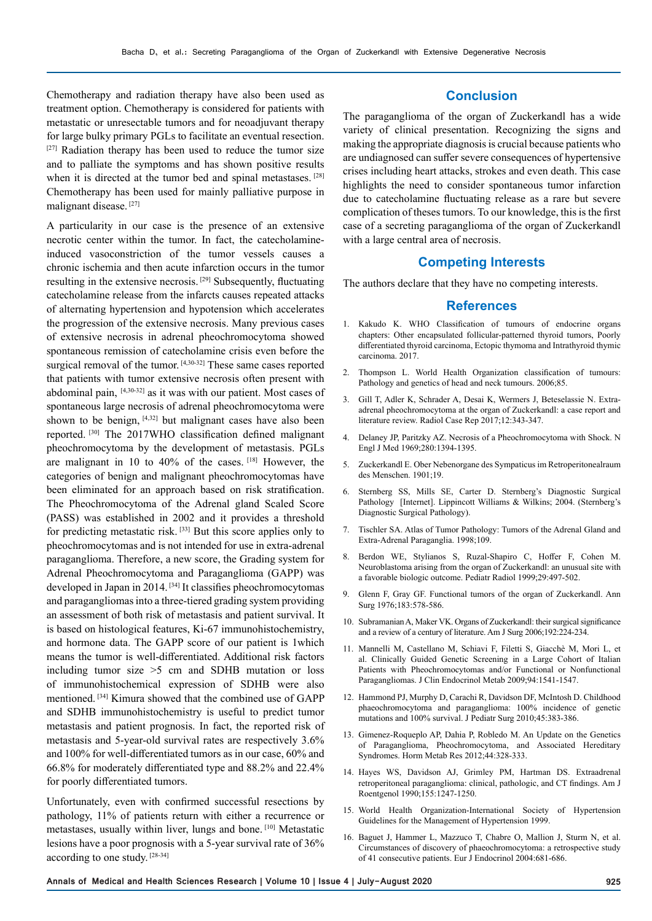Chemotherapy and radiation therapy have also been used as treatment option. Chemotherapy is considered for patients with metastatic or unresectable tumors and for neoadjuvant therapy for large bulky primary PGLs to facilitate an eventual resection.  $[27]$  Radiation therapy has been used to reduce the tumor size and to palliate the symptoms and has shown positive results when it is directed at the tumor bed and spinal metastases. [28] Chemotherapy has been used for mainly palliative purpose in malignant disease. [27]

A particularity in our case is the presence of an extensive necrotic center within the tumor. In fact, the catecholamineinduced vasoconstriction of the tumor vessels causes a chronic ischemia and then acute infarction occurs in the tumor resulting in the extensive necrosis. [29] Subsequently, fluctuating catecholamine release from the infarcts causes repeated attacks of alternating hypertension and hypotension which accelerates the progression of the extensive necrosis. Many previous cases of extensive necrosis in adrenal pheochromocytoma showed spontaneous remission of catecholamine crisis even before the surgical removal of the tumor. [4,30-32] These same cases reported that patients with tumor extensive necrosis often present with abdominal pain, [4,30-32] as it was with our patient. Most cases of spontaneous large necrosis of adrenal pheochromocytoma were shown to be benign, [4,32] but malignant cases have also been reported. [30] The 2017WHO classification defined malignant pheochromocytoma by the development of metastasis. PGLs are malignant in 10 to 40% of the cases. [18] However, the categories of benign and malignant pheochromocytomas have been eliminated for an approach based on risk stratification. The Pheochromocytoma of the Adrenal gland Scaled Score (PASS) was established in 2002 and it provides a threshold for predicting metastatic risk. [33] But this score applies only to pheochromocytomas and is not intended for use in extra-adrenal paraganglioma. Therefore, a new score, the Grading system for Adrenal Pheochromocytoma and Paraganglioma (GAPP) was developed in Japan in 2014. [34] It classifies pheochromocytomas and paragangliomas into a three-tiered grading system providing an assessment of both risk of metastasis and patient survival. It is based on histological features, Ki-67 immunohistochemistry, and hormone data. The GAPP score of our patient is 1which means the tumor is well-differentiated. Additional risk factors including tumor size >5 cm and SDHB mutation or loss of immunohistochemical expression of SDHB were also mentioned. [34] Kimura showed that the combined use of GAPP and SDHB immunohistochemistry is useful to predict tumor metastasis and patient prognosis. In fact, the reported risk of metastasis and 5-year-old survival rates are respectively 3.6% and 100% for well-differentiated tumors as in our case, 60% and 66.8% for moderately differentiated type and 88.2% and 22.4% for poorly differentiated tumors.

Unfortunately, even with confirmed successful resections by pathology, 11% of patients return with either a recurrence or metastases, usually within liver, lungs and bone. [10] Metastatic lesions have a poor prognosis with a 5-year survival rate of 36% according to one study. [28-34]

#### **Conclusion**

The paraganglioma of the organ of Zuckerkandl has a wide variety of clinical presentation. Recognizing the signs and making the appropriate diagnosis is crucial because patients who are undiagnosed can suffer severe consequences of hypertensive crises including heart attacks, strokes and even death. This case highlights the need to consider spontaneous tumor infarction due to catecholamine fluctuating release as a rare but severe complication of theses tumors. To our knowledge, this is the first case of a secreting paraganglioma of the organ of Zuckerkandl with a large central area of necrosis.

### **Competing Interests**

The authors declare that they have no competing interests.

#### **References**

- 1. Kakudo K. WHO Classification of tumours of endocrine organs chapters: Other encapsulated follicular-patterned thyroid tumors, Poorly differentiated thyroid carcinoma, Ectopic thymoma and Intrathyroid thymic carcinoma. 2017.
- 2. Thompson L. World Health Organization classification of tumours: Pathology and genetics of head and neck tumours. 2006;85.
- 3. Gill T, Adler K, Schrader A, Desai K, Wermers J, Beteselassie N. Extraadrenal pheochromocytoma at the organ of Zuckerkandl: a case report and literature review. Radiol Case Rep 2017;12:343-347.
- 4. Delaney JP, Paritzky AZ. Necrosis of a Pheochromocytoma with Shock. N Engl J Med 1969;280:1394-1395.
- 5. Zuckerkandl E. Ober Nebenorgane des Sympaticus im Retroperitonealraum des Menschen. 1901;19.
- 6. Sternberg SS, Mills SE, Carter D. Sternberg's Diagnostic Surgical Pathology [Internet]. Lippincott Williams & Wilkins; 2004. (Sternberg's Diagnostic Surgical Pathology).
- 7. Tischler SA. Atlas of Tumor Pathology: Tumors of the Adrenal Gland and Extra-Adrenal Paraganglia. 1998;109.
- 8. Berdon WE, Stylianos S, Ruzal-Shapiro C, Hoffer F, Cohen M. Neuroblastoma arising from the organ of Zuckerkandl: an unusual site with a favorable biologic outcome. Pediatr Radiol 1999;29:497-502.
- 9. Glenn F, Gray GF. Functional tumors of the organ of Zuckerkandl. Ann Surg 1976;183:578-586.
- 10. Subramanian A, Maker VK. Organs of Zuckerkandl: their surgical significance and a review of a century of literature. Am J Surg 2006;192:224-234.
- 11. Mannelli M, Castellano M, Schiavi F, Filetti S, Giacchè M, Mori L, et al. Clinically Guided Genetic Screening in a Large Cohort of Italian Patients with Pheochromocytomas and/or Functional or Nonfunctional Paragangliomas. J Clin Endocrinol Metab 2009;94:1541-1547.
- 12. Hammond PJ, Murphy D, Carachi R, Davidson DF, McIntosh D. Childhood phaeochromocytoma and paraganglioma: 100% incidence of genetic mutations and 100% survival. J Pediatr Surg 2010;45:383-386.
- 13. Gimenez-Roqueplo AP, Dahia P, Robledo M. An Update on the Genetics of Paraganglioma, Pheochromocytoma, and Associated Hereditary Syndromes. Horm Metab Res 2012;44:328-333.
- 14. Hayes WS, Davidson AJ, Grimley PM, Hartman DS. Extraadrenal retroperitoneal paraganglioma: clinical, pathologic, and CT findings. Am J Roentgenol 1990;155:1247-1250.
- 15. World Health Organization-International Society of Hypertension Guidelines for the Management of Hypertension 1999.
- 16. Baguet J, Hammer L, Mazzuco T, Chabre O, Mallion J, Sturm N, et al. Circumstances of discovery of phaeochromocytoma: a retrospective study of 41 consecutive patients. Eur J Endocrinol 2004:681-686.